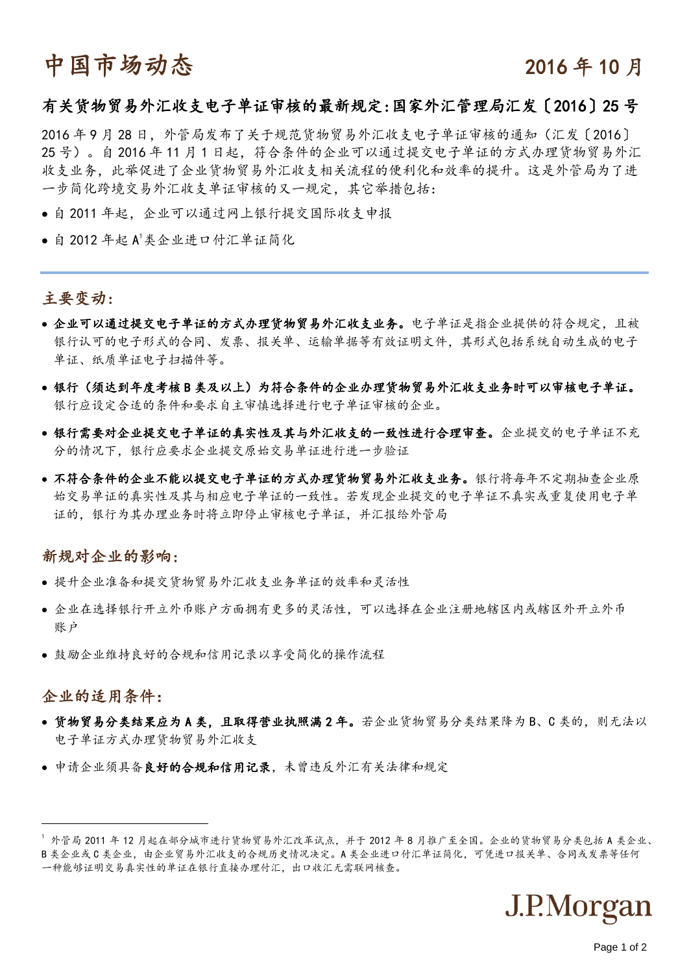# 中国市场动态 2016年10月

#### 有关货物贸易外汇收支电子单证审核的最新规定:国家外汇管理局汇发〔2016〕25 号

2016年9月28日,外管局发布了关于规范货物贸易外汇收支电子单证审核的通知(汇发〔2016〕 25 号)。自 2016 年 11 月 1 日起,符合条件的企业可以通过提交电子单证的方式办理货物贸易外汇 收支业务,此举促进了企业货物贸易外汇收支相关流程的便利化和效率的提升。这是外管局为了进 一步简化跨境交易外汇收支单证审核的又一规定,其它举措包括:

- 自 2011 年起,企业可以通过网上银行提交国际收支申报
- 自 2012年起 A<sup>1</sup>类企业进口付汇单证简化

## 主要变动:

- 企业可以通过提交电子单证的方式办理货物贸易外汇收支业务。电子单证是指企业提供的符合规定,且被 银行认可的电子形式的合同、发票、报关单、运输单据等有效证明文件,其形式包括系统自动生成的电子 单证、纸质单证电子扫描件等。
- 银行(须达到年度考核 B 类及以上)为符合条件的企业办理货物贸易外汇收支业务时可以审核电子单证。 银行应设定合适的条件和要求自主审慎选择进行电子单证审核的企业。
- 银行需要对企业提交电子单证的真实性及其与外汇收支的一致性进行合理审查。企业提交的电子单证不充 分的情况下,银行应要求企业提交原始交易单证进行进一步验证
- 不符合条件的企业不能以提交电子单证的方式办理货物贸易外汇收支业务。银行将每年不定期抽查企业原 始交易单证的真实性及其与相应电子单证的一致性。若发现企业提交的电子单证不真实或重复使用电子单 证的,银行为其办理业务时将立即停止审核电子单证,并汇报给外管局

#### 新规对企业的影响:

- 提升企业准备和提交货物贸易外汇收支业务单证的效率和灵活性
- 企业在选择银行开立外币账户方面拥有更多的灵活性,可以选择在企业注册地辖区内或辖区外开立外币 账户
- 鼓励企业维持良好的合规和信用记录以享受简化的操作流程

### 企业的适用条件:

-

- 货物贸易分类结果应为 A 类, 且取得营业执照满 2 年。若企业货物贸易分类结果降为 B、C 类的, 则无法以 电子单证方式办理货物贸易外汇收支
- 申请企业须具备良好的合规和信用记录,未曾违反外汇有关法律和规定

<sup>1</sup> 外管局 2011 年 12 月起在部分城市进行货物贸易外汇改革试点,并于 2012 年 8 月推广至全国。企业的货物贸易分类包括 A 类企业、 B 类企业或 C 类企业,由企业贸易外汇收支的合规历史情况决定。A 类企业进口付汇单证简化,可凭进口报关单、合同或发票等任何 一种能够证明交易真实性的单证在银行直接办理付汇,出口收汇无需联网核查。